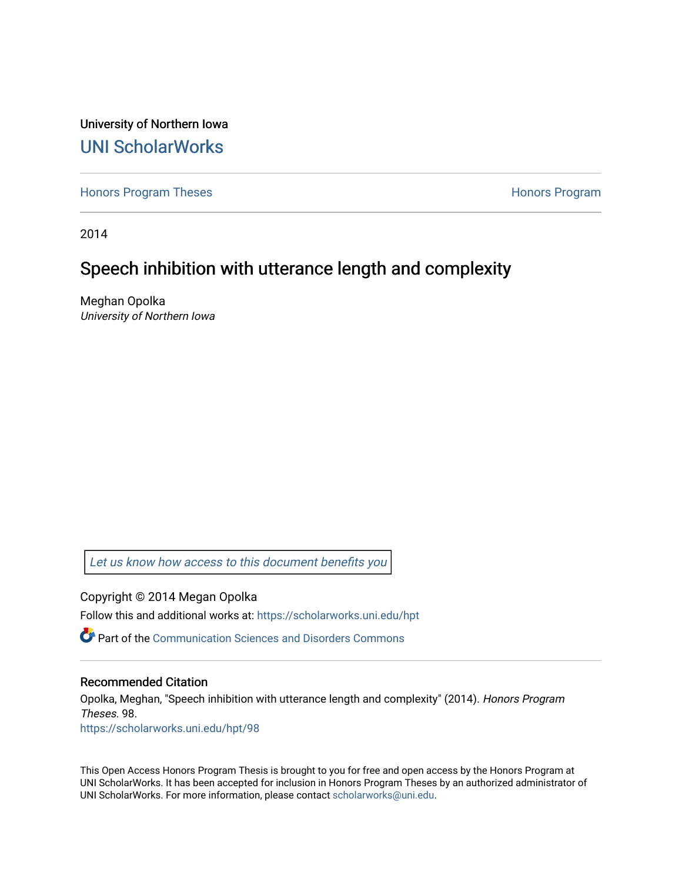University of Northern Iowa [UNI ScholarWorks](https://scholarworks.uni.edu/) 

[Honors Program Theses](https://scholarworks.uni.edu/hpt) **Honors Program** Honors Program

2014

# Speech inhibition with utterance length and complexity

Meghan Opolka University of Northern Iowa

[Let us know how access to this document benefits you](https://scholarworks.uni.edu/feedback_form.html) 

Copyright © 2014 Megan Opolka

Follow this and additional works at: [https://scholarworks.uni.edu/hpt](https://scholarworks.uni.edu/hpt?utm_source=scholarworks.uni.edu%2Fhpt%2F98&utm_medium=PDF&utm_campaign=PDFCoverPages) 

**P** Part of the [Communication Sciences and Disorders Commons](http://network.bepress.com/hgg/discipline/1019?utm_source=scholarworks.uni.edu%2Fhpt%2F98&utm_medium=PDF&utm_campaign=PDFCoverPages)

#### Recommended Citation

Opolka, Meghan, "Speech inhibition with utterance length and complexity" (2014). Honors Program Theses. 98. [https://scholarworks.uni.edu/hpt/98](https://scholarworks.uni.edu/hpt/98?utm_source=scholarworks.uni.edu%2Fhpt%2F98&utm_medium=PDF&utm_campaign=PDFCoverPages)

This Open Access Honors Program Thesis is brought to you for free and open access by the Honors Program at UNI ScholarWorks. It has been accepted for inclusion in Honors Program Theses by an authorized administrator of UNI ScholarWorks. For more information, please contact [scholarworks@uni.edu.](mailto:scholarworks@uni.edu)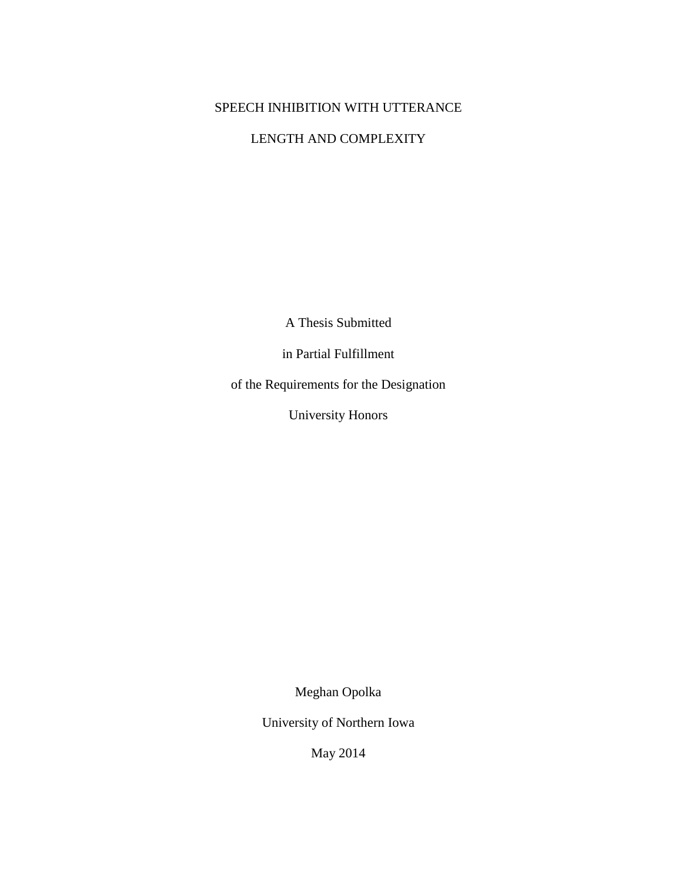# SPEECH INHIBITION WITH UTTERANCE

## LENGTH AND COMPLEXITY

A Thesis Submitted

in Partial Fulfillment

of the Requirements for the Designation

University Honors

Meghan Opolka

University of Northern Iowa

May 2014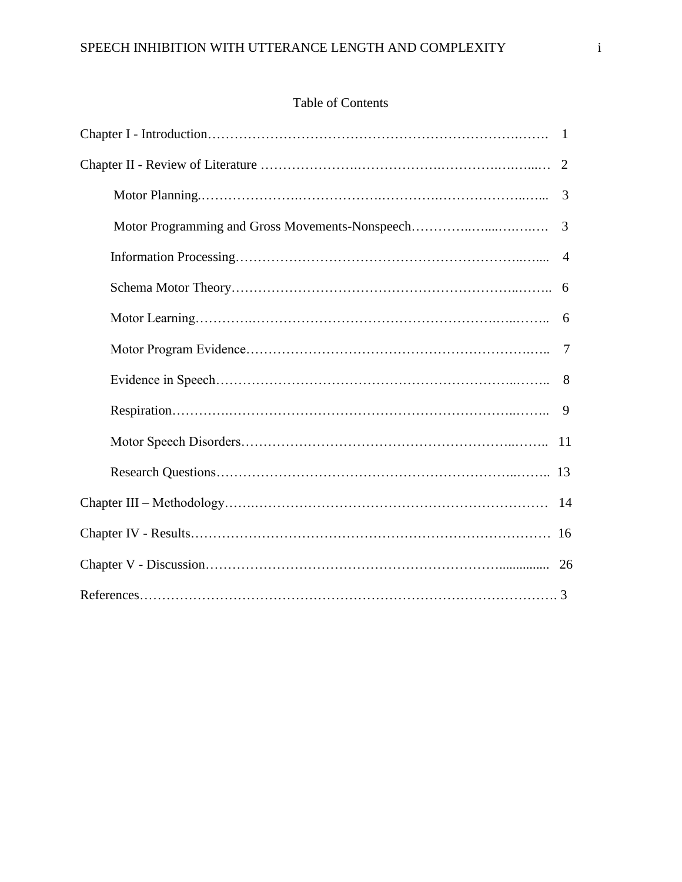# Table of Contents

|                                                 | 2              |
|-------------------------------------------------|----------------|
|                                                 | 3              |
| Motor Programming and Gross Movements-Nonspeech | 3              |
|                                                 | $\overline{4}$ |
|                                                 |                |
|                                                 | 6              |
|                                                 | $\tau$         |
|                                                 | 8              |
|                                                 | 9              |
|                                                 |                |
|                                                 |                |
|                                                 |                |
|                                                 |                |
|                                                 |                |
|                                                 |                |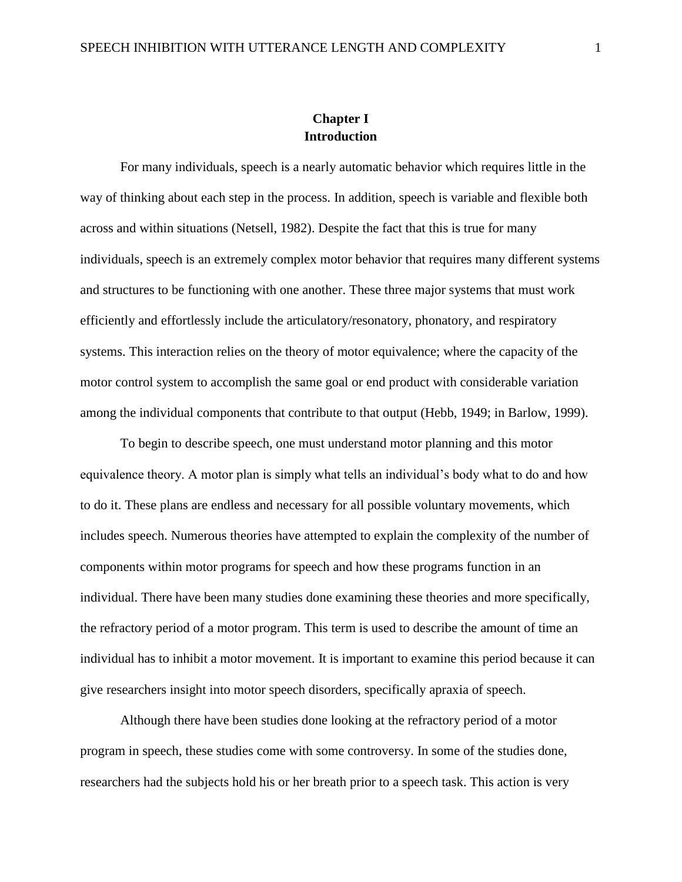### **Chapter I Introduction**

For many individuals, speech is a nearly automatic behavior which requires little in the way of thinking about each step in the process. In addition, speech is variable and flexible both across and within situations (Netsell, 1982). Despite the fact that this is true for many individuals, speech is an extremely complex motor behavior that requires many different systems and structures to be functioning with one another. These three major systems that must work efficiently and effortlessly include the articulatory/resonatory, phonatory, and respiratory systems. This interaction relies on the theory of motor equivalence; where the capacity of the motor control system to accomplish the same goal or end product with considerable variation among the individual components that contribute to that output (Hebb, 1949; in Barlow, 1999).

To begin to describe speech, one must understand motor planning and this motor equivalence theory. A motor plan is simply what tells an individual's body what to do and how to do it. These plans are endless and necessary for all possible voluntary movements, which includes speech. Numerous theories have attempted to explain the complexity of the number of components within motor programs for speech and how these programs function in an individual. There have been many studies done examining these theories and more specifically, the refractory period of a motor program. This term is used to describe the amount of time an individual has to inhibit a motor movement. It is important to examine this period because it can give researchers insight into motor speech disorders, specifically apraxia of speech.

Although there have been studies done looking at the refractory period of a motor program in speech, these studies come with some controversy. In some of the studies done, researchers had the subjects hold his or her breath prior to a speech task. This action is very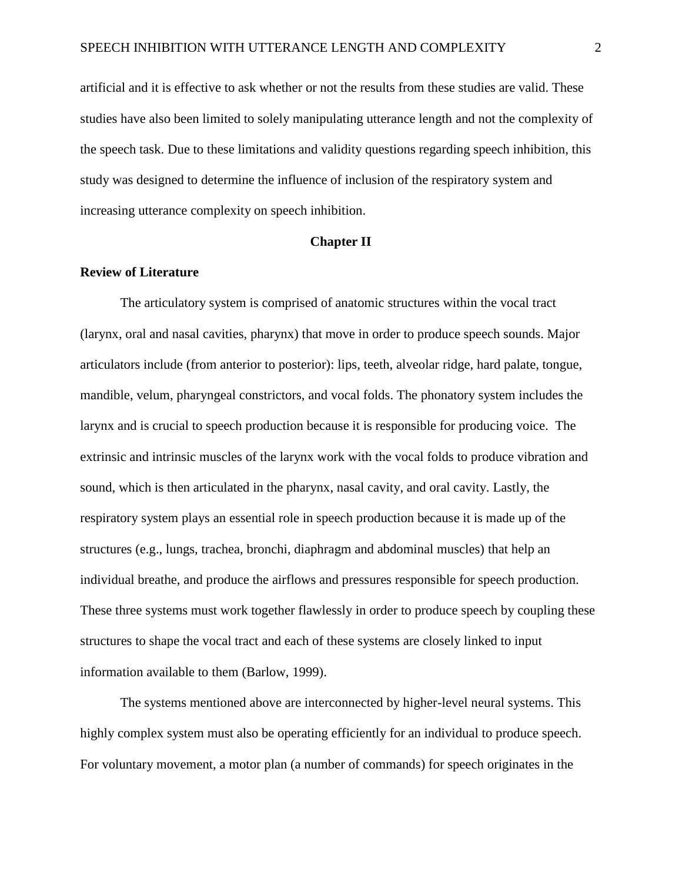artificial and it is effective to ask whether or not the results from these studies are valid. These studies have also been limited to solely manipulating utterance length and not the complexity of the speech task. Due to these limitations and validity questions regarding speech inhibition, this study was designed to determine the influence of inclusion of the respiratory system and increasing utterance complexity on speech inhibition.

### **Chapter II**

### **Review of Literature**

The articulatory system is comprised of anatomic structures within the vocal tract (larynx, oral and nasal cavities, pharynx) that move in order to produce speech sounds. Major articulators include (from anterior to posterior): lips, teeth, alveolar ridge, hard palate, tongue, mandible, velum, pharyngeal constrictors, and vocal folds. The phonatory system includes the larynx and is crucial to speech production because it is responsible for producing voice. The extrinsic and intrinsic muscles of the larynx work with the vocal folds to produce vibration and sound, which is then articulated in the pharynx, nasal cavity, and oral cavity. Lastly, the respiratory system plays an essential role in speech production because it is made up of the structures (e.g., lungs, trachea, bronchi, diaphragm and abdominal muscles) that help an individual breathe, and produce the airflows and pressures responsible for speech production. These three systems must work together flawlessly in order to produce speech by coupling these structures to shape the vocal tract and each of these systems are closely linked to input information available to them (Barlow, 1999).

The systems mentioned above are interconnected by higher-level neural systems. This highly complex system must also be operating efficiently for an individual to produce speech. For voluntary movement, a motor plan (a number of commands) for speech originates in the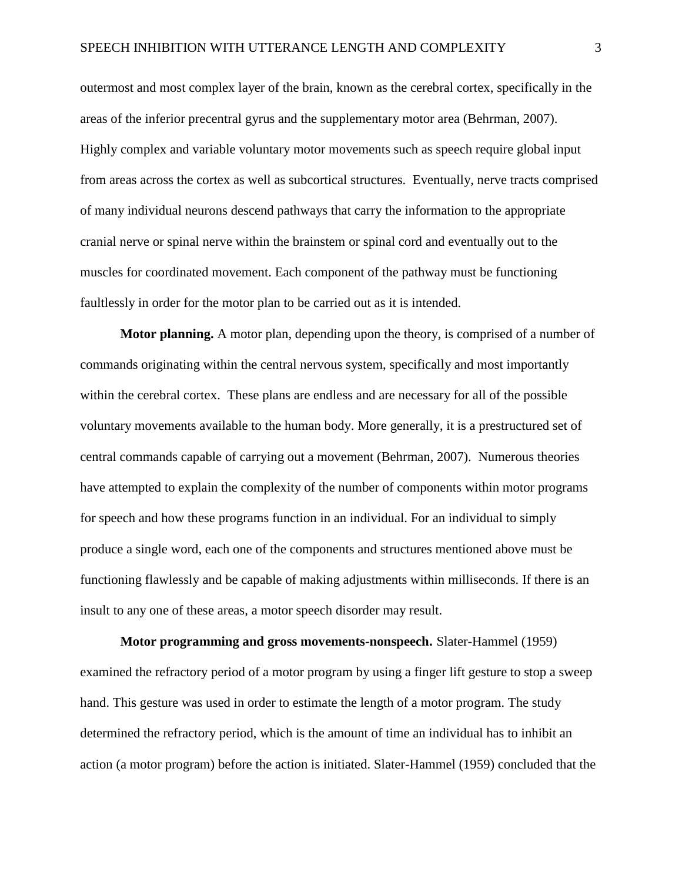outermost and most complex layer of the brain, known as the cerebral cortex, specifically in the areas of the inferior precentral gyrus and the supplementary motor area (Behrman, 2007). Highly complex and variable voluntary motor movements such as speech require global input from areas across the cortex as well as subcortical structures. Eventually, nerve tracts comprised of many individual neurons descend pathways that carry the information to the appropriate cranial nerve or spinal nerve within the brainstem or spinal cord and eventually out to the muscles for coordinated movement. Each component of the pathway must be functioning faultlessly in order for the motor plan to be carried out as it is intended.

**Motor planning.** A motor plan, depending upon the theory, is comprised of a number of commands originating within the central nervous system, specifically and most importantly within the cerebral cortex. These plans are endless and are necessary for all of the possible voluntary movements available to the human body. More generally, it is a prestructured set of central commands capable of carrying out a movement (Behrman, 2007). Numerous theories have attempted to explain the complexity of the number of components within motor programs for speech and how these programs function in an individual. For an individual to simply produce a single word, each one of the components and structures mentioned above must be functioning flawlessly and be capable of making adjustments within milliseconds. If there is an insult to any one of these areas, a motor speech disorder may result.

**Motor programming and gross movements-nonspeech.** Slater-Hammel (1959) examined the refractory period of a motor program by using a finger lift gesture to stop a sweep hand. This gesture was used in order to estimate the length of a motor program. The study determined the refractory period, which is the amount of time an individual has to inhibit an action (a motor program) before the action is initiated. Slater-Hammel (1959) concluded that the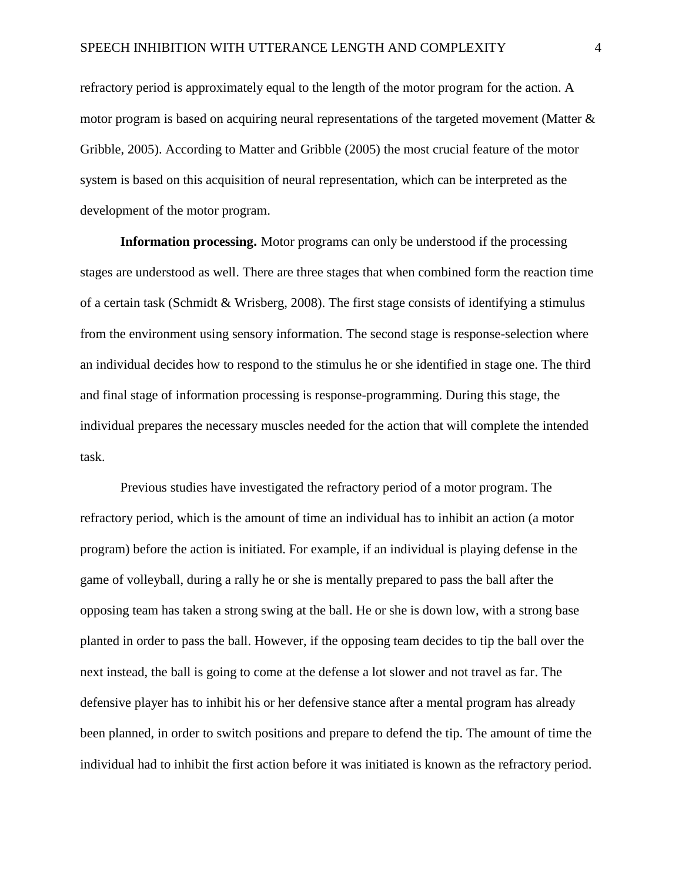refractory period is approximately equal to the length of the motor program for the action. A motor program is based on acquiring neural representations of the targeted movement (Matter  $\&$ Gribble, 2005). According to Matter and Gribble (2005) the most crucial feature of the motor system is based on this acquisition of neural representation, which can be interpreted as the development of the motor program.

**Information processing.** Motor programs can only be understood if the processing stages are understood as well. There are three stages that when combined form the reaction time of a certain task (Schmidt & Wrisberg, 2008). The first stage consists of identifying a stimulus from the environment using sensory information. The second stage is response-selection where an individual decides how to respond to the stimulus he or she identified in stage one. The third and final stage of information processing is response-programming. During this stage, the individual prepares the necessary muscles needed for the action that will complete the intended task.

Previous studies have investigated the refractory period of a motor program. The refractory period, which is the amount of time an individual has to inhibit an action (a motor program) before the action is initiated. For example, if an individual is playing defense in the game of volleyball, during a rally he or she is mentally prepared to pass the ball after the opposing team has taken a strong swing at the ball. He or she is down low, with a strong base planted in order to pass the ball. However, if the opposing team decides to tip the ball over the next instead, the ball is going to come at the defense a lot slower and not travel as far. The defensive player has to inhibit his or her defensive stance after a mental program has already been planned, in order to switch positions and prepare to defend the tip. The amount of time the individual had to inhibit the first action before it was initiated is known as the refractory period.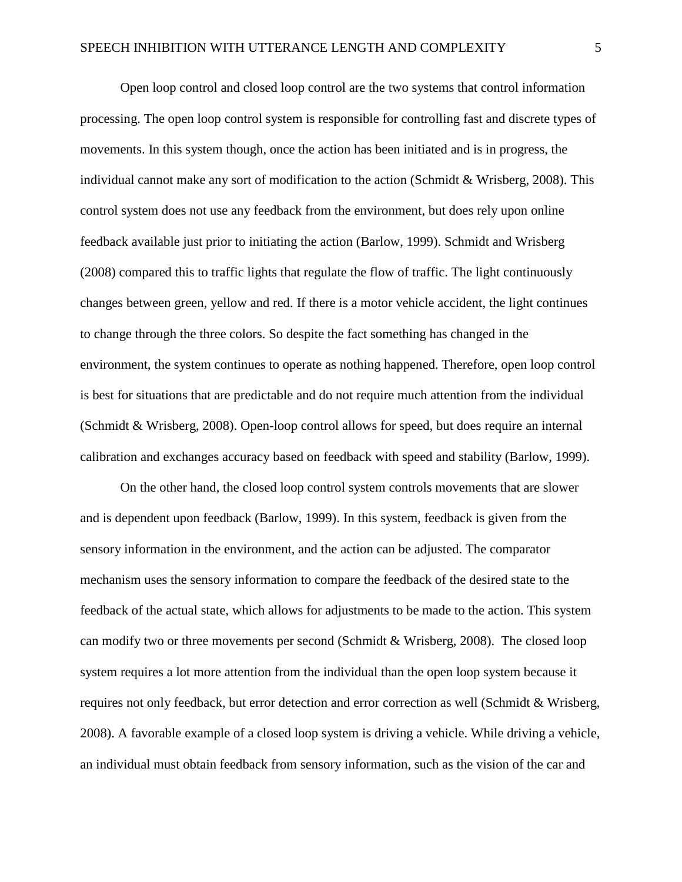Open loop control and closed loop control are the two systems that control information processing. The open loop control system is responsible for controlling fast and discrete types of movements. In this system though, once the action has been initiated and is in progress, the individual cannot make any sort of modification to the action (Schmidt & Wrisberg, 2008). This control system does not use any feedback from the environment, but does rely upon online feedback available just prior to initiating the action (Barlow, 1999). Schmidt and Wrisberg (2008) compared this to traffic lights that regulate the flow of traffic. The light continuously changes between green, yellow and red. If there is a motor vehicle accident, the light continues to change through the three colors. So despite the fact something has changed in the environment, the system continues to operate as nothing happened. Therefore, open loop control is best for situations that are predictable and do not require much attention from the individual (Schmidt & Wrisberg, 2008). Open-loop control allows for speed, but does require an internal calibration and exchanges accuracy based on feedback with speed and stability (Barlow, 1999).

On the other hand, the closed loop control system controls movements that are slower and is dependent upon feedback (Barlow, 1999). In this system, feedback is given from the sensory information in the environment, and the action can be adjusted. The comparator mechanism uses the sensory information to compare the feedback of the desired state to the feedback of the actual state, which allows for adjustments to be made to the action. This system can modify two or three movements per second (Schmidt & Wrisberg, 2008). The closed loop system requires a lot more attention from the individual than the open loop system because it requires not only feedback, but error detection and error correction as well (Schmidt & Wrisberg, 2008). A favorable example of a closed loop system is driving a vehicle. While driving a vehicle, an individual must obtain feedback from sensory information, such as the vision of the car and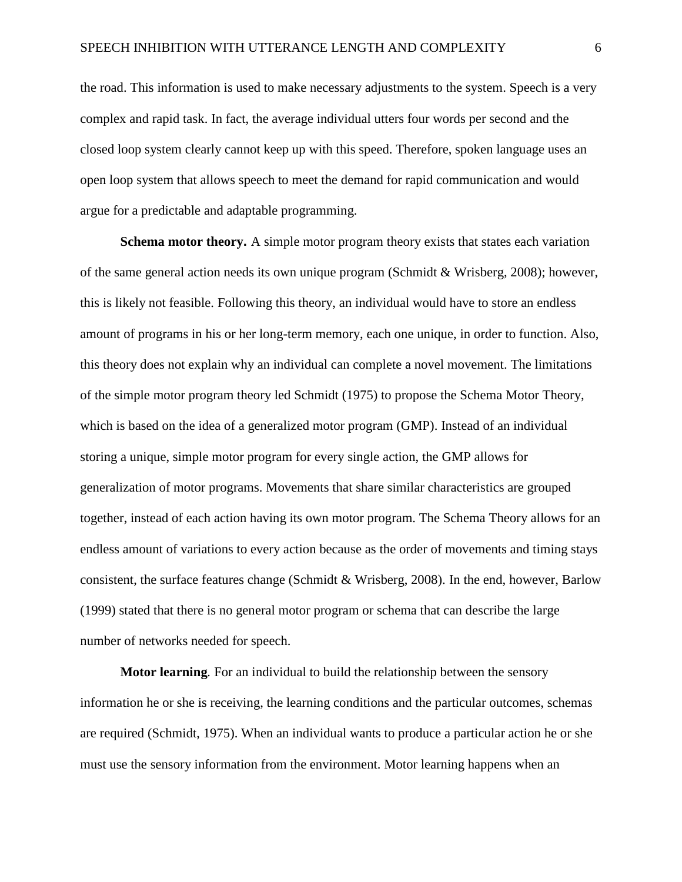the road. This information is used to make necessary adjustments to the system. Speech is a very complex and rapid task. In fact, the average individual utters four words per second and the closed loop system clearly cannot keep up with this speed. Therefore, spoken language uses an open loop system that allows speech to meet the demand for rapid communication and would argue for a predictable and adaptable programming.

**Schema motor theory.** A simple motor program theory exists that states each variation of the same general action needs its own unique program (Schmidt & Wrisberg, 2008); however, this is likely not feasible. Following this theory, an individual would have to store an endless amount of programs in his or her long-term memory, each one unique, in order to function. Also, this theory does not explain why an individual can complete a novel movement. The limitations of the simple motor program theory led Schmidt (1975) to propose the Schema Motor Theory, which is based on the idea of a generalized motor program (GMP). Instead of an individual storing a unique, simple motor program for every single action, the GMP allows for generalization of motor programs. Movements that share similar characteristics are grouped together, instead of each action having its own motor program. The Schema Theory allows for an endless amount of variations to every action because as the order of movements and timing stays consistent, the surface features change (Schmidt & Wrisberg, 2008). In the end, however, Barlow (1999) stated that there is no general motor program or schema that can describe the large number of networks needed for speech.

**Motor learning***.* For an individual to build the relationship between the sensory information he or she is receiving, the learning conditions and the particular outcomes, schemas are required (Schmidt, 1975). When an individual wants to produce a particular action he or she must use the sensory information from the environment. Motor learning happens when an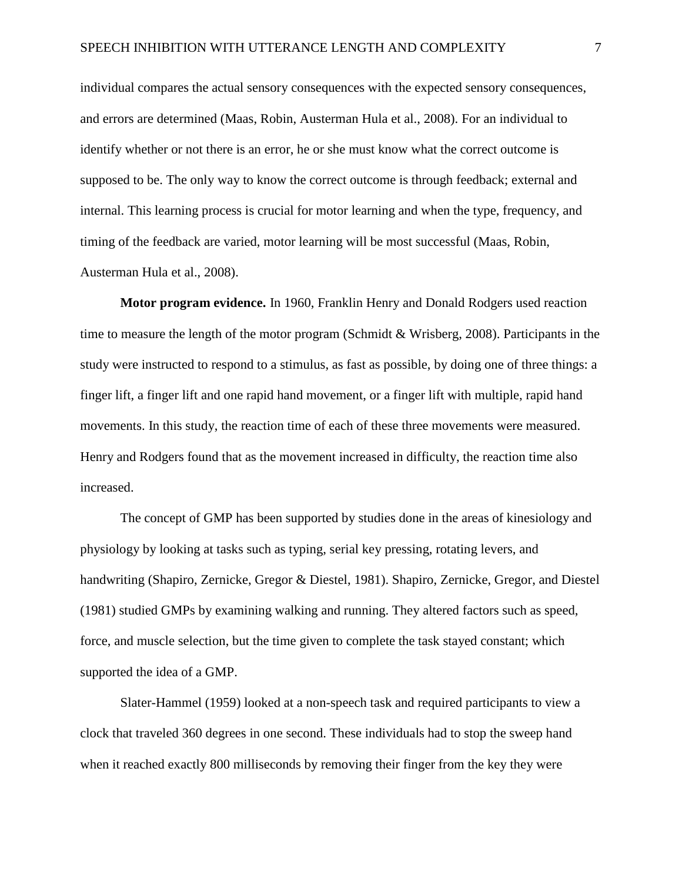individual compares the actual sensory consequences with the expected sensory consequences, and errors are determined (Maas, Robin, Austerman Hula et al., 2008). For an individual to identify whether or not there is an error, he or she must know what the correct outcome is supposed to be. The only way to know the correct outcome is through feedback; external and internal. This learning process is crucial for motor learning and when the type, frequency, and timing of the feedback are varied, motor learning will be most successful (Maas, Robin, Austerman Hula et al., 2008).

**Motor program evidence.** In 1960, Franklin Henry and Donald Rodgers used reaction time to measure the length of the motor program (Schmidt & Wrisberg, 2008). Participants in the study were instructed to respond to a stimulus, as fast as possible, by doing one of three things: a finger lift, a finger lift and one rapid hand movement, or a finger lift with multiple, rapid hand movements. In this study, the reaction time of each of these three movements were measured. Henry and Rodgers found that as the movement increased in difficulty, the reaction time also increased.

The concept of GMP has been supported by studies done in the areas of kinesiology and physiology by looking at tasks such as typing, serial key pressing, rotating levers, and handwriting (Shapiro, Zernicke, Gregor & Diestel, 1981). Shapiro, Zernicke, Gregor, and Diestel (1981) studied GMPs by examining walking and running. They altered factors such as speed, force, and muscle selection, but the time given to complete the task stayed constant; which supported the idea of a GMP.

Slater-Hammel (1959) looked at a non-speech task and required participants to view a clock that traveled 360 degrees in one second. These individuals had to stop the sweep hand when it reached exactly 800 milliseconds by removing their finger from the key they were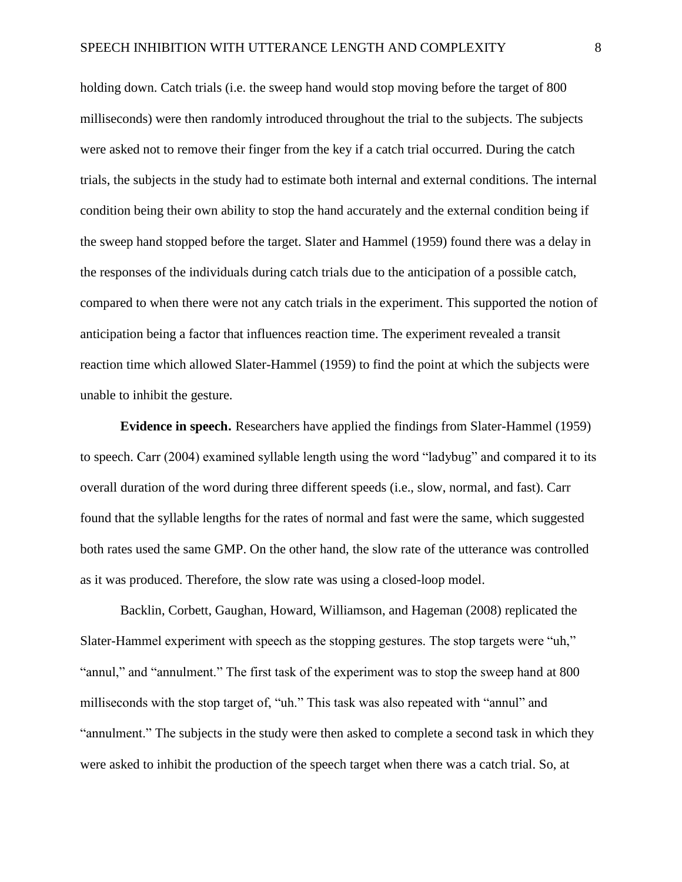holding down. Catch trials (i.e. the sweep hand would stop moving before the target of 800 milliseconds) were then randomly introduced throughout the trial to the subjects. The subjects were asked not to remove their finger from the key if a catch trial occurred. During the catch trials, the subjects in the study had to estimate both internal and external conditions. The internal condition being their own ability to stop the hand accurately and the external condition being if the sweep hand stopped before the target. Slater and Hammel (1959) found there was a delay in the responses of the individuals during catch trials due to the anticipation of a possible catch, compared to when there were not any catch trials in the experiment. This supported the notion of anticipation being a factor that influences reaction time. The experiment revealed a transit reaction time which allowed Slater-Hammel (1959) to find the point at which the subjects were unable to inhibit the gesture.

**Evidence in speech.** Researchers have applied the findings from Slater-Hammel (1959) to speech. Carr (2004) examined syllable length using the word "ladybug" and compared it to its overall duration of the word during three different speeds (i.e., slow, normal, and fast). Carr found that the syllable lengths for the rates of normal and fast were the same, which suggested both rates used the same GMP. On the other hand, the slow rate of the utterance was controlled as it was produced. Therefore, the slow rate was using a closed-loop model.

Backlin, Corbett, Gaughan, Howard, Williamson, and Hageman (2008) replicated the Slater-Hammel experiment with speech as the stopping gestures. The stop targets were "uh," "annul," and "annulment." The first task of the experiment was to stop the sweep hand at 800 milliseconds with the stop target of, "uh." This task was also repeated with "annul" and "annulment." The subjects in the study were then asked to complete a second task in which they were asked to inhibit the production of the speech target when there was a catch trial. So, at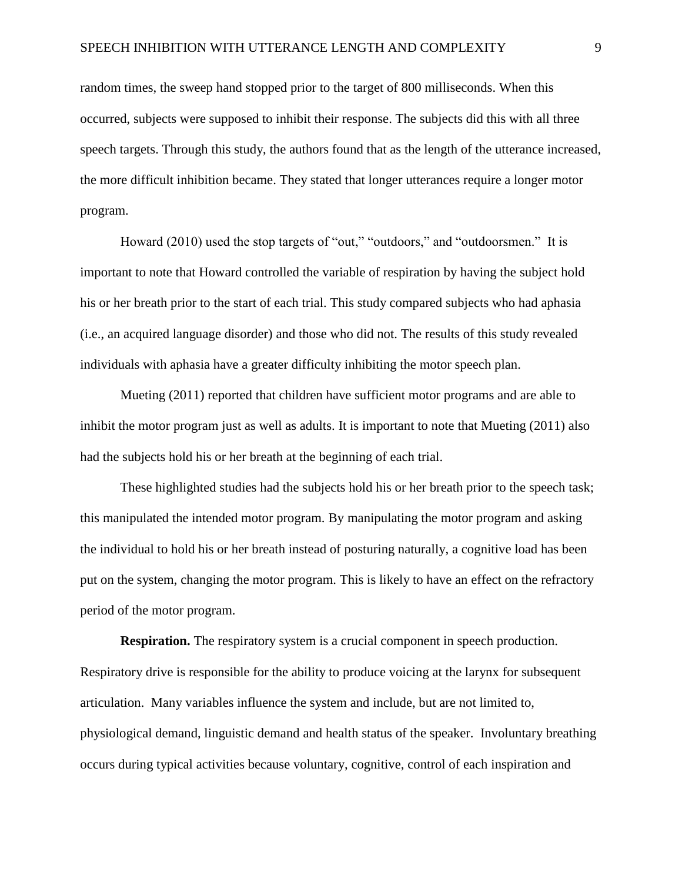random times, the sweep hand stopped prior to the target of 800 milliseconds. When this occurred, subjects were supposed to inhibit their response. The subjects did this with all three speech targets. Through this study, the authors found that as the length of the utterance increased, the more difficult inhibition became. They stated that longer utterances require a longer motor program.

Howard (2010) used the stop targets of "out," "outdoors," and "outdoorsmen." It is important to note that Howard controlled the variable of respiration by having the subject hold his or her breath prior to the start of each trial. This study compared subjects who had aphasia (i.e., an acquired language disorder) and those who did not. The results of this study revealed individuals with aphasia have a greater difficulty inhibiting the motor speech plan.

Mueting (2011) reported that children have sufficient motor programs and are able to inhibit the motor program just as well as adults. It is important to note that Mueting (2011) also had the subjects hold his or her breath at the beginning of each trial.

These highlighted studies had the subjects hold his or her breath prior to the speech task; this manipulated the intended motor program. By manipulating the motor program and asking the individual to hold his or her breath instead of posturing naturally, a cognitive load has been put on the system, changing the motor program. This is likely to have an effect on the refractory period of the motor program.

**Respiration.** The respiratory system is a crucial component in speech production. Respiratory drive is responsible for the ability to produce voicing at the larynx for subsequent articulation. Many variables influence the system and include, but are not limited to, physiological demand, linguistic demand and health status of the speaker. Involuntary breathing occurs during typical activities because voluntary, cognitive, control of each inspiration and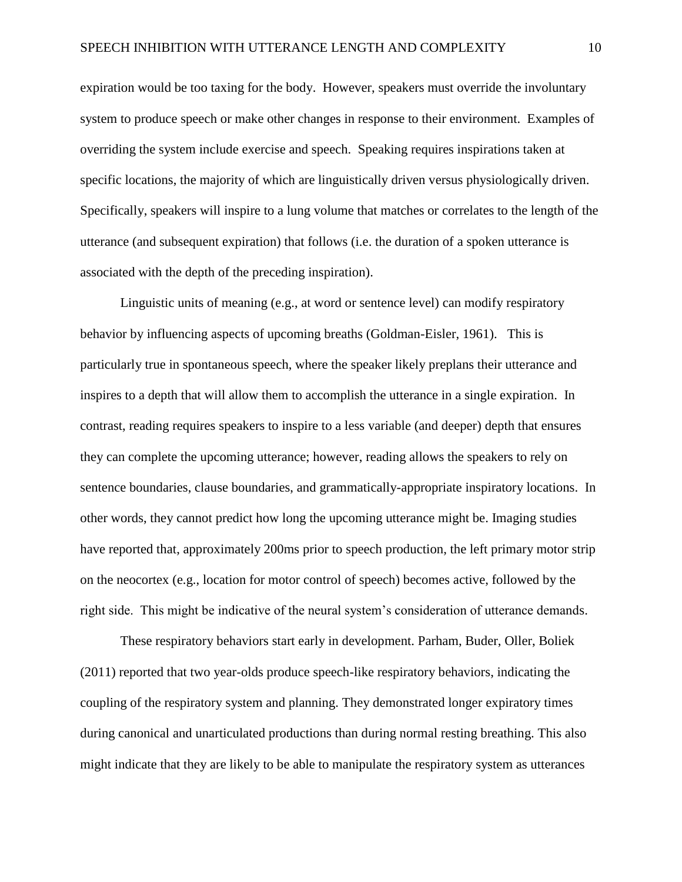expiration would be too taxing for the body. However, speakers must override the involuntary system to produce speech or make other changes in response to their environment. Examples of overriding the system include exercise and speech. Speaking requires inspirations taken at specific locations, the majority of which are linguistically driven versus physiologically driven. Specifically, speakers will inspire to a lung volume that matches or correlates to the length of the utterance (and subsequent expiration) that follows (i.e. the duration of a spoken utterance is associated with the depth of the preceding inspiration).

Linguistic units of meaning (e.g., at word or sentence level) can modify respiratory behavior by influencing aspects of upcoming breaths (Goldman-Eisler, 1961). This is particularly true in spontaneous speech, where the speaker likely preplans their utterance and inspires to a depth that will allow them to accomplish the utterance in a single expiration. In contrast, reading requires speakers to inspire to a less variable (and deeper) depth that ensures they can complete the upcoming utterance; however, reading allows the speakers to rely on sentence boundaries, clause boundaries, and grammatically-appropriate inspiratory locations. In other words, they cannot predict how long the upcoming utterance might be. Imaging studies have reported that, approximately 200ms prior to speech production, the left primary motor strip on the neocortex (e.g., location for motor control of speech) becomes active, followed by the right side. This might be indicative of the neural system's consideration of utterance demands.

These respiratory behaviors start early in development. Parham, Buder, Oller, Boliek (2011) reported that two year-olds produce speech-like respiratory behaviors, indicating the coupling of the respiratory system and planning. They demonstrated longer expiratory times during canonical and unarticulated productions than during normal resting breathing. This also might indicate that they are likely to be able to manipulate the respiratory system as utterances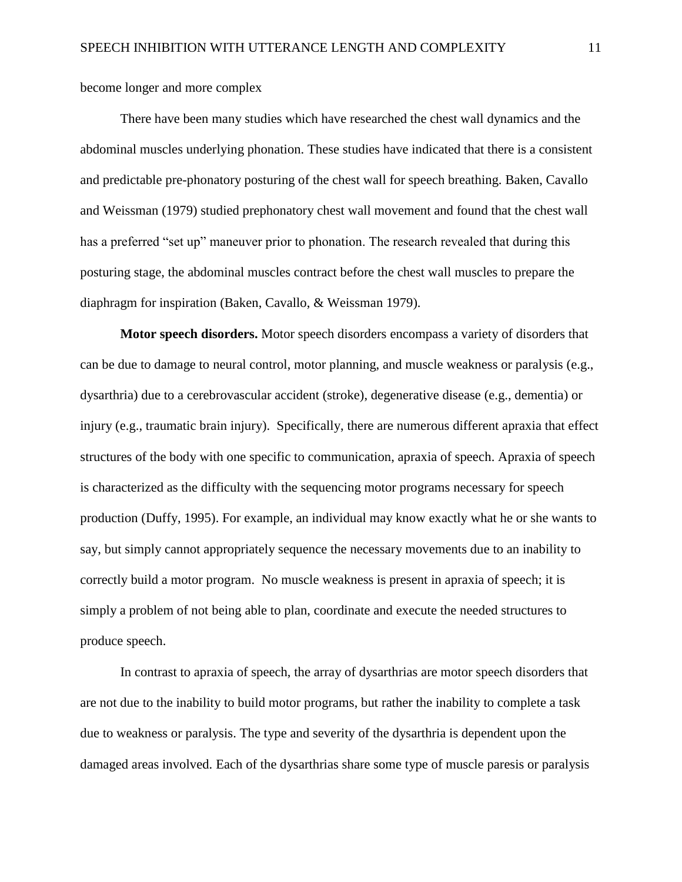become longer and more complex

There have been many studies which have researched the chest wall dynamics and the abdominal muscles underlying phonation. These studies have indicated that there is a consistent and predictable pre-phonatory posturing of the chest wall for speech breathing. Baken, Cavallo and Weissman (1979) studied prephonatory chest wall movement and found that the chest wall has a preferred "set up" maneuver prior to phonation. The research revealed that during this posturing stage, the abdominal muscles contract before the chest wall muscles to prepare the diaphragm for inspiration (Baken, Cavallo, & Weissman 1979).

**Motor speech disorders.** Motor speech disorders encompass a variety of disorders that can be due to damage to neural control, motor planning, and muscle weakness or paralysis (e.g., dysarthria) due to a cerebrovascular accident (stroke), degenerative disease (e.g., dementia) or injury (e.g., traumatic brain injury). Specifically, there are numerous different apraxia that effect structures of the body with one specific to communication, apraxia of speech. Apraxia of speech is characterized as the difficulty with the sequencing motor programs necessary for speech production (Duffy, 1995). For example, an individual may know exactly what he or she wants to say, but simply cannot appropriately sequence the necessary movements due to an inability to correctly build a motor program. No muscle weakness is present in apraxia of speech; it is simply a problem of not being able to plan, coordinate and execute the needed structures to produce speech.

In contrast to apraxia of speech, the array of dysarthrias are motor speech disorders that are not due to the inability to build motor programs, but rather the inability to complete a task due to weakness or paralysis. The type and severity of the dysarthria is dependent upon the damaged areas involved. Each of the dysarthrias share some type of muscle paresis or paralysis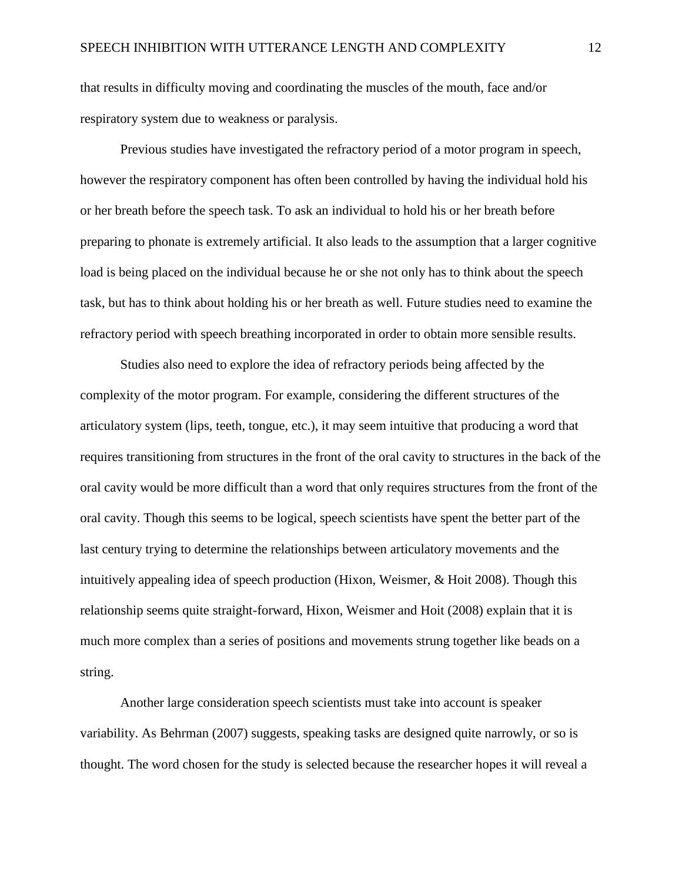that results in difficulty moving and coordinating the muscles of the mouth, face and/or respiratory system due to weakness or paralysis.

Previous studies have investigated the refractory period of a motor program in speech, however the respiratory component has often been controlled by having the individual hold his or her breath before the speech task. To ask an individual to hold his or her breath before preparing to phonate is extremely artificial. It also leads to the assumption that a larger cognitive load is being placed on the individual because he or she not only has to think about the speech task, but has to think about holding his or her breath as well. Future studies need to examine the refractory period with speech breathing incorporated in order to obtain more sensible results.

Studies also need to explore the idea of refractory periods being affected by the complexity of the motor program. For example, considering the different structures of the articulatory system (lips, teeth, tongue, etc.), it may seem intuitive that producing a word that requires transitioning from structures in the front of the oral cavity to structures in the back of the oral cavity would be more difficult than a word that only requires structures from the front of the oral cavity. Though this seems to be logical, speech scientists have spent the better part of the last century trying to determine the relationships between articulatory movements and the intuitively appealing idea of speech production (Hixon, Weismer, & Hoit 2008). Though this relationship seems quite straight-forward, Hixon, Weismer and Hoit (2008) explain that it is much more complex than a series of positions and movements strung together like beads on a string.

Another large consideration speech scientists must take into account is speaker variability. As Behrman (2007) suggests, speaking tasks are designed quite narrowly, or so is thought. The word chosen for the study is selected because the researcher hopes it will reveal a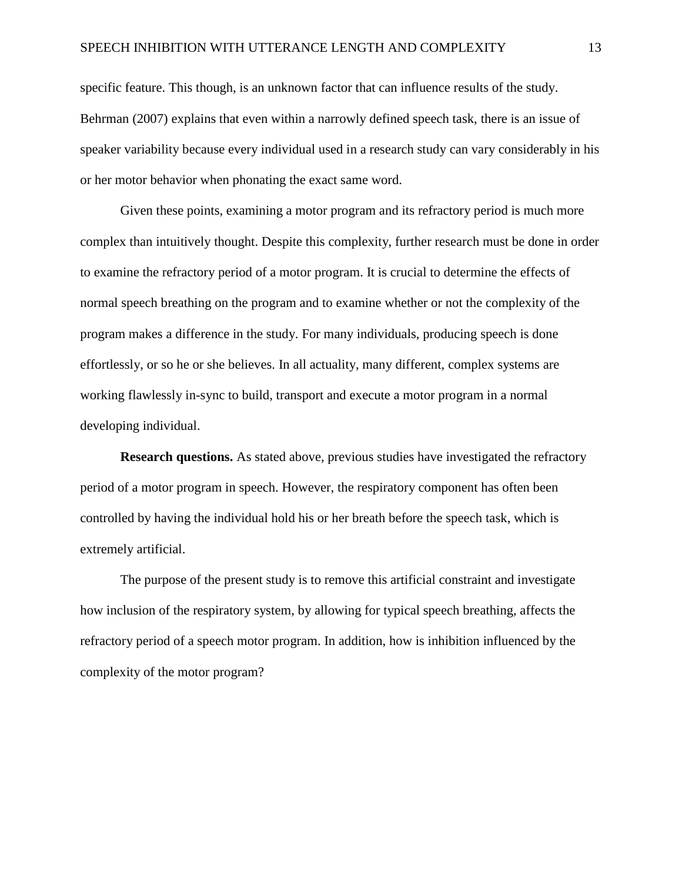specific feature. This though, is an unknown factor that can influence results of the study. Behrman (2007) explains that even within a narrowly defined speech task, there is an issue of speaker variability because every individual used in a research study can vary considerably in his or her motor behavior when phonating the exact same word.

Given these points, examining a motor program and its refractory period is much more complex than intuitively thought. Despite this complexity, further research must be done in order to examine the refractory period of a motor program. It is crucial to determine the effects of normal speech breathing on the program and to examine whether or not the complexity of the program makes a difference in the study. For many individuals, producing speech is done effortlessly, or so he or she believes. In all actuality, many different, complex systems are working flawlessly in-sync to build, transport and execute a motor program in a normal developing individual.

**Research questions.** As stated above, previous studies have investigated the refractory period of a motor program in speech. However, the respiratory component has often been controlled by having the individual hold his or her breath before the speech task, which is extremely artificial.

The purpose of the present study is to remove this artificial constraint and investigate how inclusion of the respiratory system, by allowing for typical speech breathing, affects the refractory period of a speech motor program. In addition, how is inhibition influenced by the complexity of the motor program?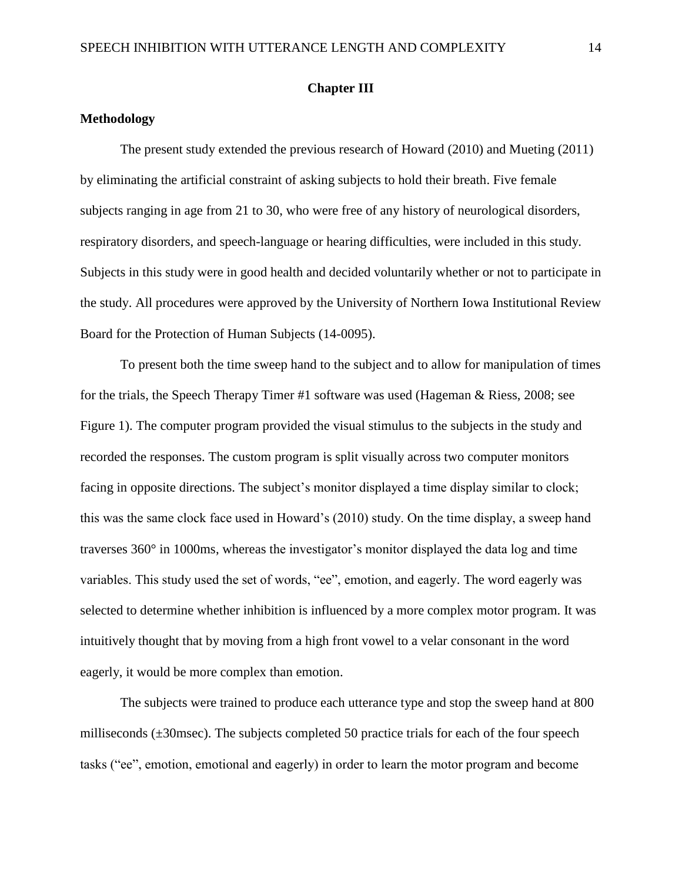### **Chapter III**

### **Methodology**

The present study extended the previous research of Howard (2010) and Mueting (2011) by eliminating the artificial constraint of asking subjects to hold their breath. Five female subjects ranging in age from 21 to 30, who were free of any history of neurological disorders, respiratory disorders, and speech-language or hearing difficulties, were included in this study. Subjects in this study were in good health and decided voluntarily whether or not to participate in the study. All procedures were approved by the University of Northern Iowa Institutional Review Board for the Protection of Human Subjects (14-0095).

To present both the time sweep hand to the subject and to allow for manipulation of times for the trials, the Speech Therapy Timer #1 software was used (Hageman & Riess, 2008; see Figure 1). The computer program provided the visual stimulus to the subjects in the study and recorded the responses. The custom program is split visually across two computer monitors facing in opposite directions. The subject's monitor displayed a time display similar to clock; this was the same clock face used in Howard's (2010) study. On the time display, a sweep hand traverses 360° in 1000ms, whereas the investigator's monitor displayed the data log and time variables. This study used the set of words, "ee", emotion, and eagerly. The word eagerly was selected to determine whether inhibition is influenced by a more complex motor program. It was intuitively thought that by moving from a high front vowel to a velar consonant in the word eagerly, it would be more complex than emotion.

The subjects were trained to produce each utterance type and stop the sweep hand at 800 milliseconds (±30msec). The subjects completed 50 practice trials for each of the four speech tasks ("ee", emotion, emotional and eagerly) in order to learn the motor program and become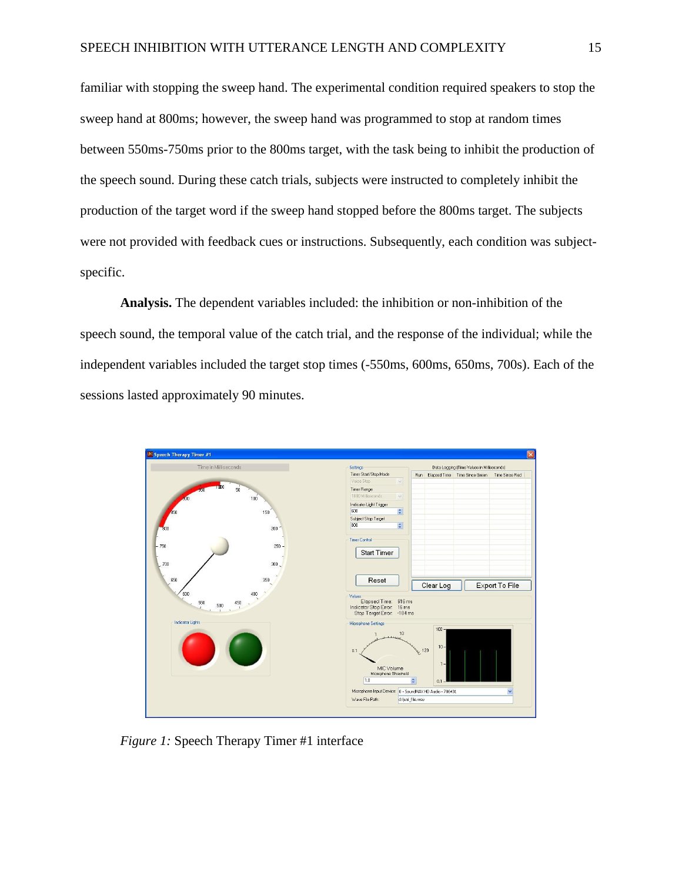familiar with stopping the sweep hand. The experimental condition required speakers to stop the sweep hand at 800ms; however, the sweep hand was programmed to stop at random times between 550ms-750ms prior to the 800ms target, with the task being to inhibit the production of the speech sound. During these catch trials, subjects were instructed to completely inhibit the production of the target word if the sweep hand stopped before the 800ms target. The subjects were not provided with feedback cues or instructions. Subsequently, each condition was subjectspecific.

**Analysis.** The dependent variables included: the inhibition or non-inhibition of the speech sound, the temporal value of the catch trial, and the response of the individual; while the independent variables included the target stop times (-550ms, 600ms, 650ms, 700s). Each of the sessions lasted approximately 90 minutes.



*Figure 1:* Speech Therapy Timer #1 interface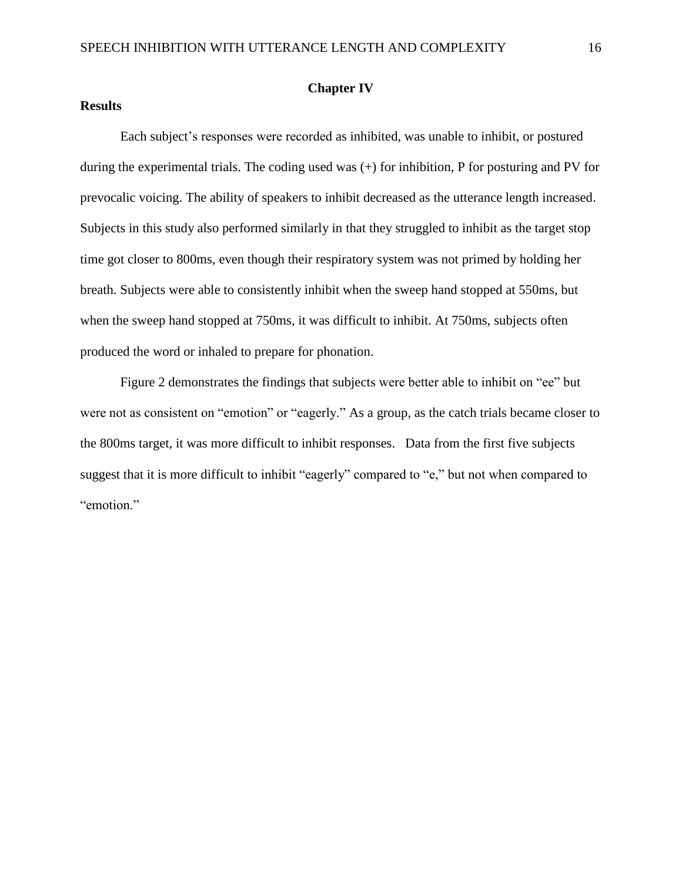#### **Results**

#### **Chapter IV**

Each subject's responses were recorded as inhibited, was unable to inhibit, or postured during the experimental trials. The coding used was (+) for inhibition, P for posturing and PV for prevocalic voicing. The ability of speakers to inhibit decreased as the utterance length increased. Subjects in this study also performed similarly in that they struggled to inhibit as the target stop time got closer to 800ms, even though their respiratory system was not primed by holding her breath. Subjects were able to consistently inhibit when the sweep hand stopped at 550ms, but when the sweep hand stopped at 750ms, it was difficult to inhibit. At 750ms, subjects often produced the word or inhaled to prepare for phonation.

Figure 2 demonstrates the findings that subjects were better able to inhibit on "ee" but were not as consistent on "emotion" or "eagerly." As a group, as the catch trials became closer to the 800ms target, it was more difficult to inhibit responses. Data from the first five subjects suggest that it is more difficult to inhibit "eagerly" compared to "e," but not when compared to "emotion."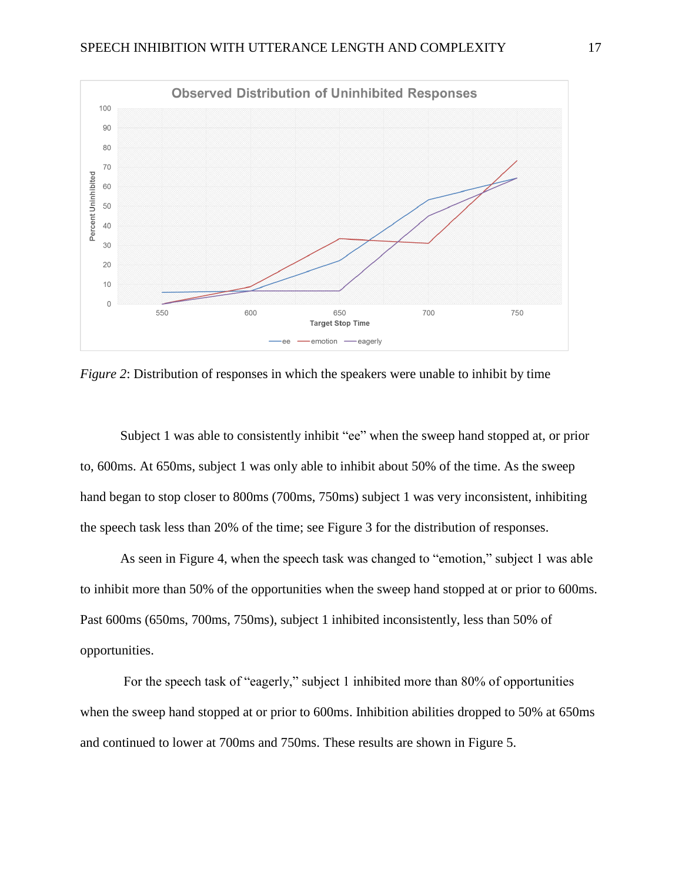

*Figure 2*: Distribution of responses in which the speakers were unable to inhibit by time

Subject 1 was able to consistently inhibit "ee" when the sweep hand stopped at, or prior to, 600ms. At 650ms, subject 1 was only able to inhibit about 50% of the time. As the sweep hand began to stop closer to 800ms (700ms, 750ms) subject 1 was very inconsistent, inhibiting the speech task less than 20% of the time; see Figure 3 for the distribution of responses.

As seen in Figure 4, when the speech task was changed to "emotion," subject 1 was able to inhibit more than 50% of the opportunities when the sweep hand stopped at or prior to 600ms. Past 600ms (650ms, 700ms, 750ms), subject 1 inhibited inconsistently, less than 50% of opportunities.

For the speech task of "eagerly," subject 1 inhibited more than 80% of opportunities when the sweep hand stopped at or prior to 600ms. Inhibition abilities dropped to 50% at 650ms and continued to lower at 700ms and 750ms. These results are shown in Figure 5.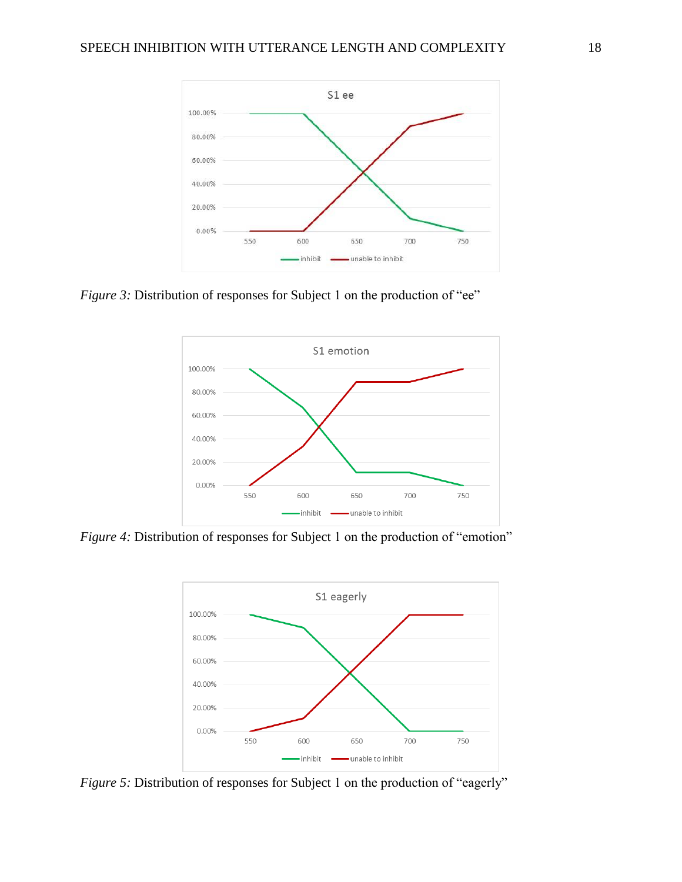

*Figure 3:* Distribution of responses for Subject 1 on the production of "ee"



*Figure 4:* Distribution of responses for Subject 1 on the production of "emotion"



*Figure 5:* Distribution of responses for Subject 1 on the production of "eagerly"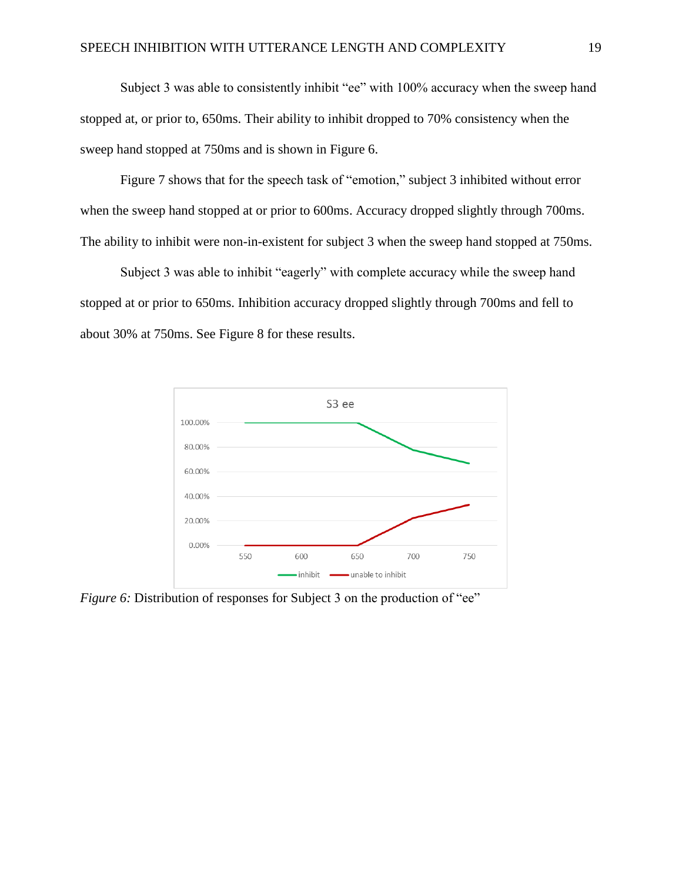Subject 3 was able to consistently inhibit "ee" with 100% accuracy when the sweep hand stopped at, or prior to, 650ms. Their ability to inhibit dropped to 70% consistency when the sweep hand stopped at 750ms and is shown in Figure 6.

Figure 7 shows that for the speech task of "emotion," subject 3 inhibited without error when the sweep hand stopped at or prior to 600ms. Accuracy dropped slightly through 700ms. The ability to inhibit were non-in-existent for subject 3 when the sweep hand stopped at 750ms.

Subject 3 was able to inhibit "eagerly" with complete accuracy while the sweep hand stopped at or prior to 650ms. Inhibition accuracy dropped slightly through 700ms and fell to about 30% at 750ms. See Figure 8 for these results.



*Figure 6:* Distribution of responses for Subject 3 on the production of "ee"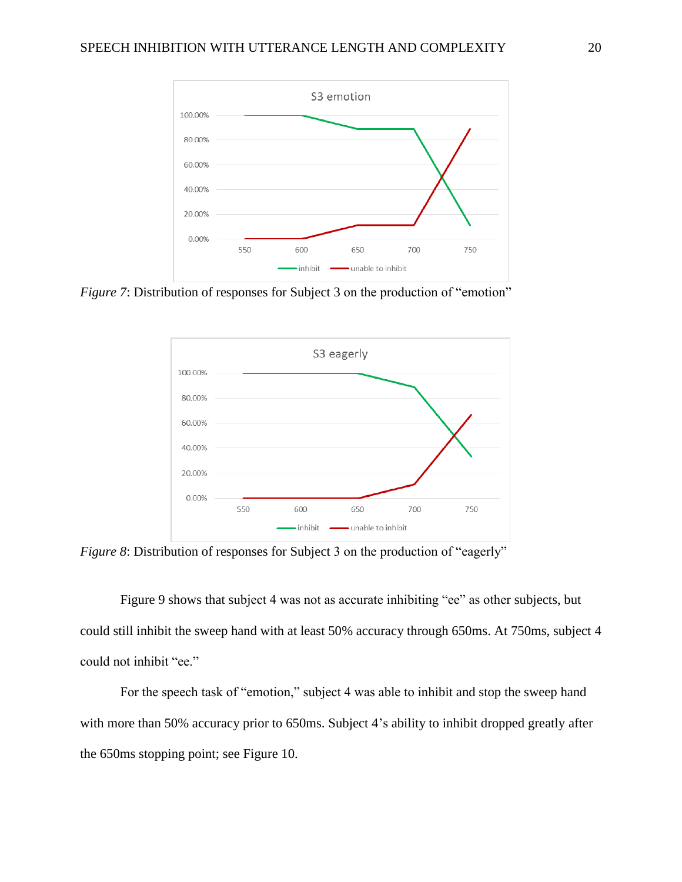

*Figure 7*: Distribution of responses for Subject 3 on the production of "emotion"



*Figure 8*: Distribution of responses for Subject 3 on the production of "eagerly"

Figure 9 shows that subject 4 was not as accurate inhibiting "ee" as other subjects, but could still inhibit the sweep hand with at least 50% accuracy through 650ms. At 750ms, subject 4 could not inhibit "ee."

For the speech task of "emotion," subject 4 was able to inhibit and stop the sweep hand with more than 50% accuracy prior to 650ms. Subject 4's ability to inhibit dropped greatly after the 650ms stopping point; see Figure 10.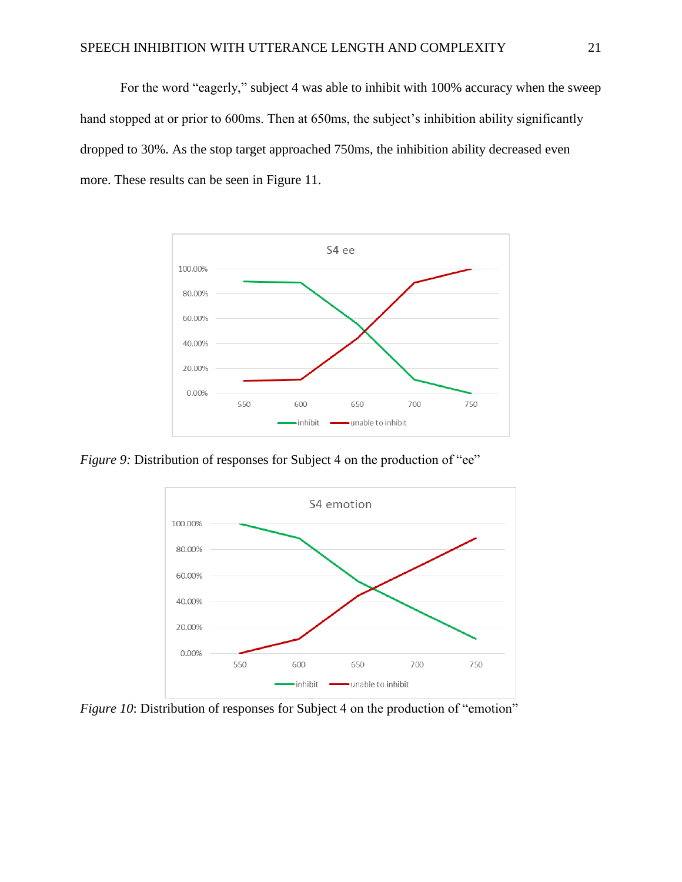For the word "eagerly," subject 4 was able to inhibit with 100% accuracy when the sweep hand stopped at or prior to 600ms. Then at 650ms, the subject's inhibition ability significantly dropped to 30%. As the stop target approached 750ms, the inhibition ability decreased even more. These results can be seen in Figure 11.



*Figure 9:* Distribution of responses for Subject 4 on the production of "ee"



*Figure 10*: Distribution of responses for Subject 4 on the production of "emotion"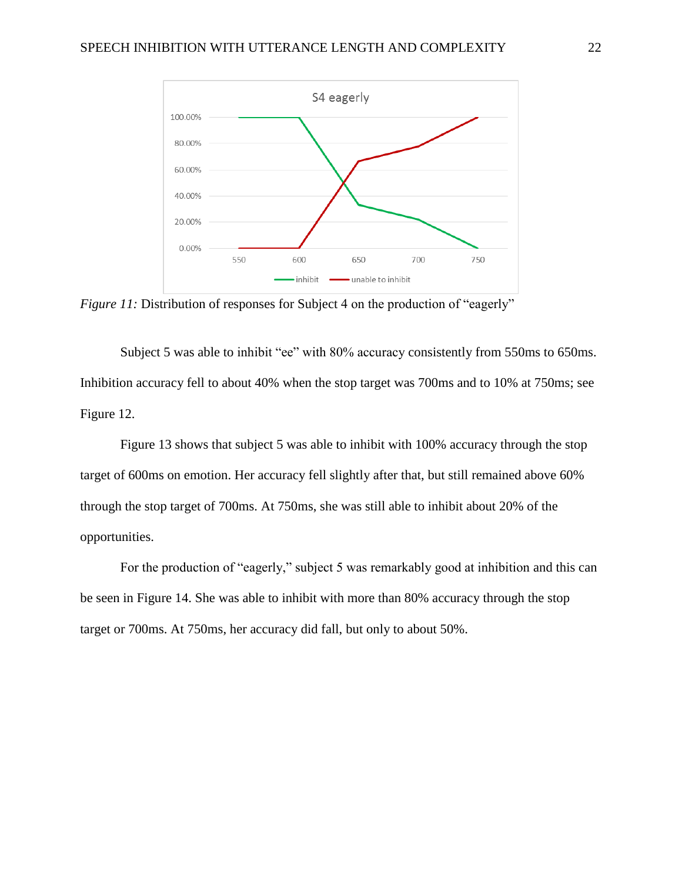

*Figure 11:* Distribution of responses for Subject 4 on the production of "eagerly"

Subject 5 was able to inhibit "ee" with 80% accuracy consistently from 550ms to 650ms. Inhibition accuracy fell to about 40% when the stop target was 700ms and to 10% at 750ms; see Figure 12.

Figure 13 shows that subject 5 was able to inhibit with 100% accuracy through the stop target of 600ms on emotion. Her accuracy fell slightly after that, but still remained above 60% through the stop target of 700ms. At 750ms, she was still able to inhibit about 20% of the opportunities.

For the production of "eagerly," subject 5 was remarkably good at inhibition and this can be seen in Figure 14. She was able to inhibit with more than 80% accuracy through the stop target or 700ms. At 750ms, her accuracy did fall, but only to about 50%.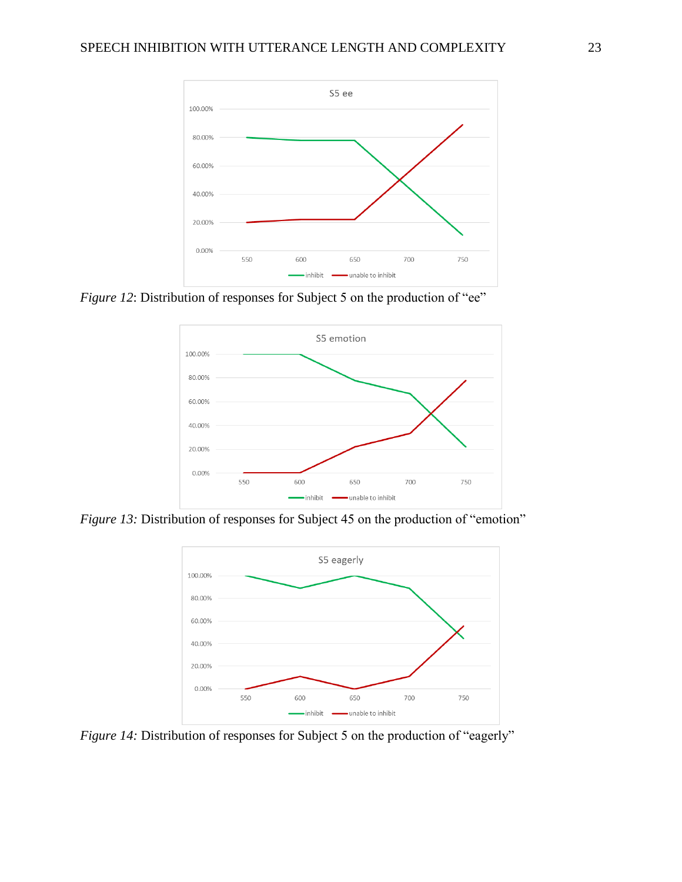

*Figure 12*: Distribution of responses for Subject 5 on the production of "ee"



*Figure 13:* Distribution of responses for Subject 45 on the production of "emotion"



*Figure 14:* Distribution of responses for Subject 5 on the production of "eagerly"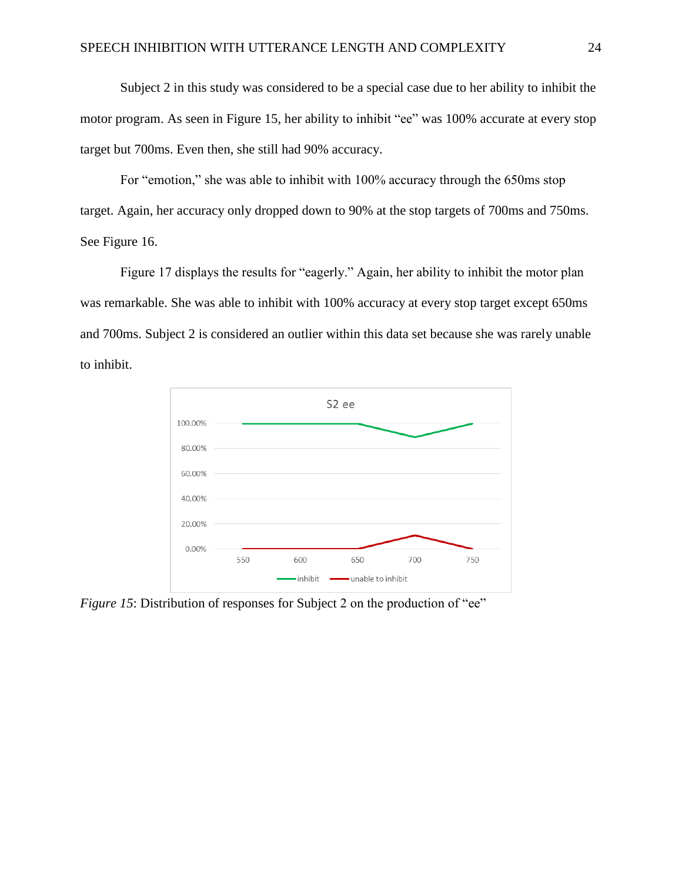Subject 2 in this study was considered to be a special case due to her ability to inhibit the motor program. As seen in Figure 15, her ability to inhibit "ee" was 100% accurate at every stop target but 700ms. Even then, she still had 90% accuracy.

For "emotion," she was able to inhibit with 100% accuracy through the 650ms stop target. Again, her accuracy only dropped down to 90% at the stop targets of 700ms and 750ms. See Figure 16.

Figure 17 displays the results for "eagerly." Again, her ability to inhibit the motor plan was remarkable. She was able to inhibit with 100% accuracy at every stop target except 650ms and 700ms. Subject 2 is considered an outlier within this data set because she was rarely unable to inhibit.



*Figure 15*: Distribution of responses for Subject 2 on the production of "ee"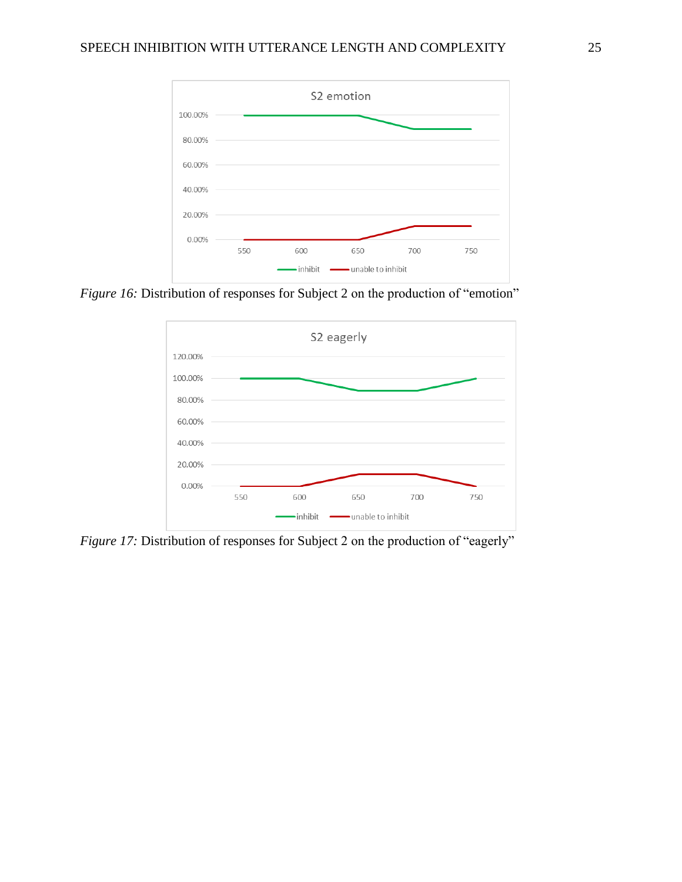

*Figure 16:* Distribution of responses for Subject 2 on the production of "emotion"



*Figure 17:* Distribution of responses for Subject 2 on the production of "eagerly"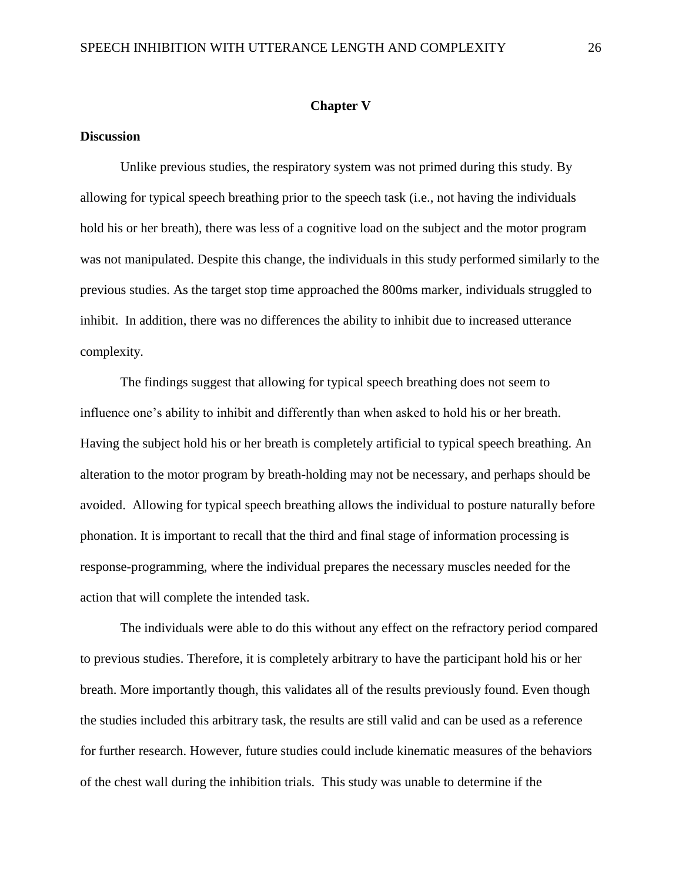#### **Chapter V**

### **Discussion**

Unlike previous studies, the respiratory system was not primed during this study. By allowing for typical speech breathing prior to the speech task (i.e., not having the individuals hold his or her breath), there was less of a cognitive load on the subject and the motor program was not manipulated. Despite this change, the individuals in this study performed similarly to the previous studies. As the target stop time approached the 800ms marker, individuals struggled to inhibit. In addition, there was no differences the ability to inhibit due to increased utterance complexity.

The findings suggest that allowing for typical speech breathing does not seem to influence one's ability to inhibit and differently than when asked to hold his or her breath. Having the subject hold his or her breath is completely artificial to typical speech breathing. An alteration to the motor program by breath-holding may not be necessary, and perhaps should be avoided. Allowing for typical speech breathing allows the individual to posture naturally before phonation. It is important to recall that the third and final stage of information processing is response-programming, where the individual prepares the necessary muscles needed for the action that will complete the intended task.

The individuals were able to do this without any effect on the refractory period compared to previous studies. Therefore, it is completely arbitrary to have the participant hold his or her breath. More importantly though, this validates all of the results previously found. Even though the studies included this arbitrary task, the results are still valid and can be used as a reference for further research. However, future studies could include kinematic measures of the behaviors of the chest wall during the inhibition trials. This study was unable to determine if the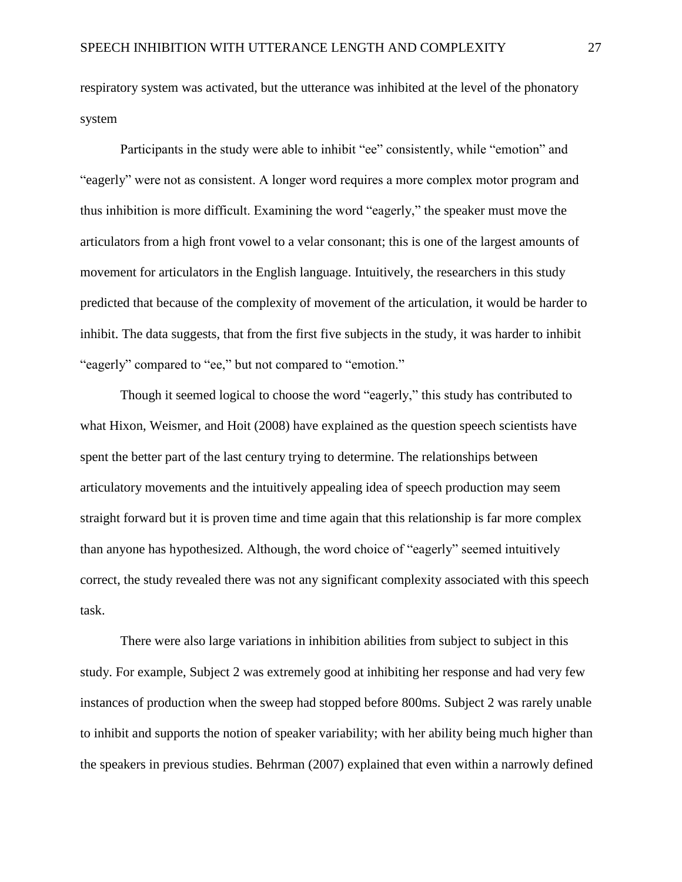respiratory system was activated, but the utterance was inhibited at the level of the phonatory system

Participants in the study were able to inhibit "ee" consistently, while "emotion" and "eagerly" were not as consistent. A longer word requires a more complex motor program and thus inhibition is more difficult. Examining the word "eagerly," the speaker must move the articulators from a high front vowel to a velar consonant; this is one of the largest amounts of movement for articulators in the English language. Intuitively, the researchers in this study predicted that because of the complexity of movement of the articulation, it would be harder to inhibit. The data suggests, that from the first five subjects in the study, it was harder to inhibit "eagerly" compared to "ee," but not compared to "emotion."

Though it seemed logical to choose the word "eagerly," this study has contributed to what Hixon, Weismer, and Hoit (2008) have explained as the question speech scientists have spent the better part of the last century trying to determine. The relationships between articulatory movements and the intuitively appealing idea of speech production may seem straight forward but it is proven time and time again that this relationship is far more complex than anyone has hypothesized. Although, the word choice of "eagerly" seemed intuitively correct, the study revealed there was not any significant complexity associated with this speech task.

There were also large variations in inhibition abilities from subject to subject in this study. For example, Subject 2 was extremely good at inhibiting her response and had very few instances of production when the sweep had stopped before 800ms. Subject 2 was rarely unable to inhibit and supports the notion of speaker variability; with her ability being much higher than the speakers in previous studies. Behrman (2007) explained that even within a narrowly defined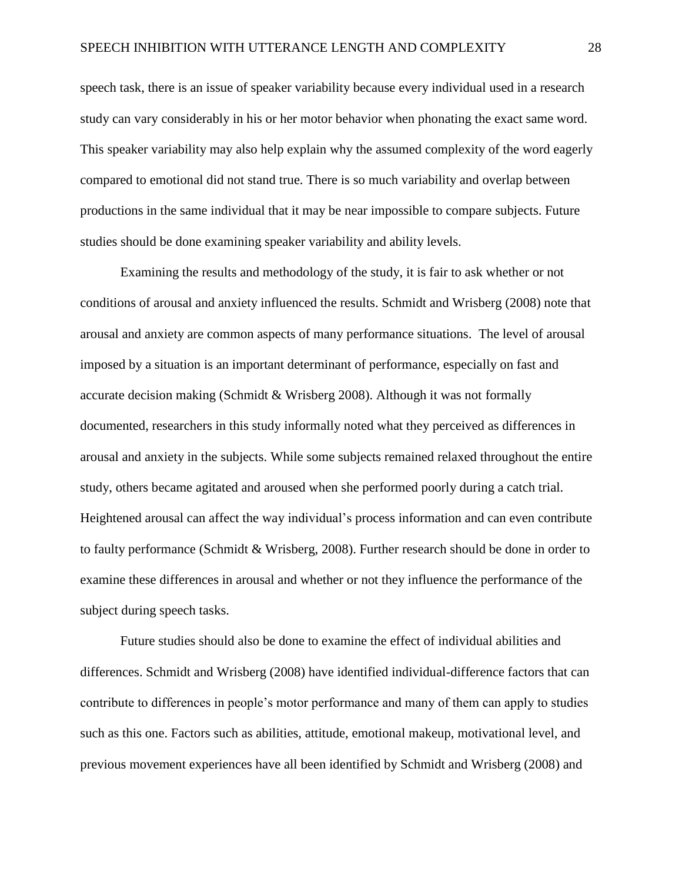speech task, there is an issue of speaker variability because every individual used in a research study can vary considerably in his or her motor behavior when phonating the exact same word. This speaker variability may also help explain why the assumed complexity of the word eagerly compared to emotional did not stand true. There is so much variability and overlap between productions in the same individual that it may be near impossible to compare subjects. Future studies should be done examining speaker variability and ability levels.

Examining the results and methodology of the study, it is fair to ask whether or not conditions of arousal and anxiety influenced the results. Schmidt and Wrisberg (2008) note that arousal and anxiety are common aspects of many performance situations. The level of arousal imposed by a situation is an important determinant of performance, especially on fast and accurate decision making (Schmidt & Wrisberg 2008). Although it was not formally documented, researchers in this study informally noted what they perceived as differences in arousal and anxiety in the subjects. While some subjects remained relaxed throughout the entire study, others became agitated and aroused when she performed poorly during a catch trial. Heightened arousal can affect the way individual's process information and can even contribute to faulty performance (Schmidt & Wrisberg, 2008). Further research should be done in order to examine these differences in arousal and whether or not they influence the performance of the subject during speech tasks.

Future studies should also be done to examine the effect of individual abilities and differences. Schmidt and Wrisberg (2008) have identified individual-difference factors that can contribute to differences in people's motor performance and many of them can apply to studies such as this one. Factors such as abilities, attitude, emotional makeup, motivational level, and previous movement experiences have all been identified by Schmidt and Wrisberg (2008) and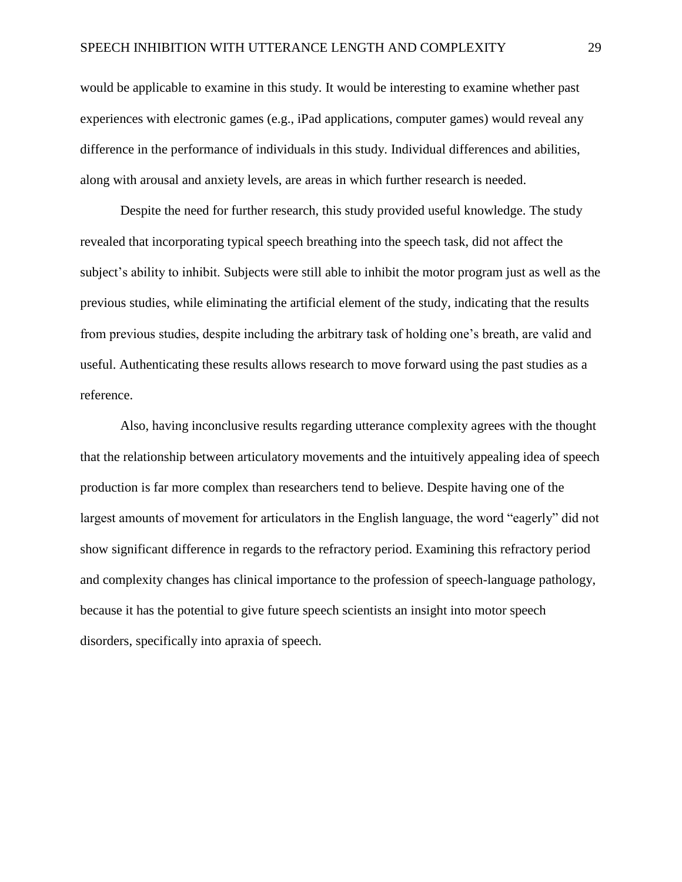would be applicable to examine in this study. It would be interesting to examine whether past experiences with electronic games (e.g., iPad applications, computer games) would reveal any difference in the performance of individuals in this study. Individual differences and abilities, along with arousal and anxiety levels, are areas in which further research is needed.

Despite the need for further research, this study provided useful knowledge. The study revealed that incorporating typical speech breathing into the speech task, did not affect the subject's ability to inhibit. Subjects were still able to inhibit the motor program just as well as the previous studies, while eliminating the artificial element of the study, indicating that the results from previous studies, despite including the arbitrary task of holding one's breath, are valid and useful. Authenticating these results allows research to move forward using the past studies as a reference.

Also, having inconclusive results regarding utterance complexity agrees with the thought that the relationship between articulatory movements and the intuitively appealing idea of speech production is far more complex than researchers tend to believe. Despite having one of the largest amounts of movement for articulators in the English language, the word "eagerly" did not show significant difference in regards to the refractory period. Examining this refractory period and complexity changes has clinical importance to the profession of speech-language pathology, because it has the potential to give future speech scientists an insight into motor speech disorders, specifically into apraxia of speech.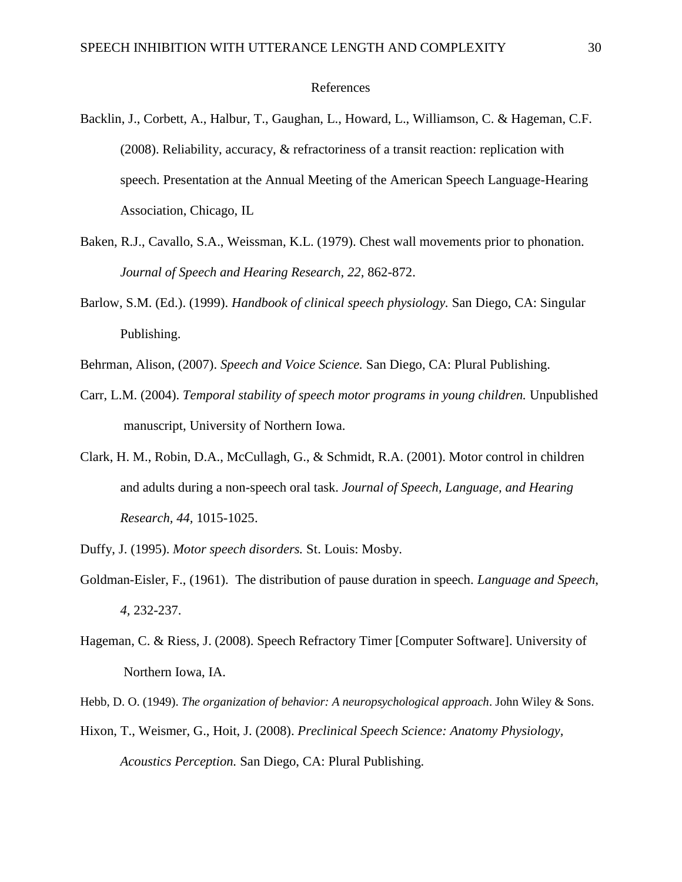#### References

- Backlin, J., Corbett, A., Halbur, T., Gaughan, L., Howard, L., Williamson, C. & Hageman, C.F. (2008). Reliability, accuracy, & refractoriness of a transit reaction: replication with speech. Presentation at the Annual Meeting of the American Speech Language-Hearing Association, Chicago, IL
- Baken, R.J., Cavallo, S.A., Weissman, K.L. (1979). Chest wall movements prior to phonation. *Journal of Speech and Hearing Research, 22,* 862-872.
- Barlow, S.M. (Ed.). (1999). *Handbook of clinical speech physiology.* San Diego, CA: Singular Publishing.
- Behrman, Alison, (2007). *Speech and Voice Science.* San Diego, CA: Plural Publishing.
- Carr, L.M. (2004). *Temporal stability of speech motor programs in young children.* Unpublished manuscript, University of Northern Iowa.
- Clark, H. M., Robin, D.A., McCullagh, G., & Schmidt, R.A. (2001). Motor control in children and adults during a non-speech oral task. *Journal of Speech, Language, and Hearing Research, 44,* 1015-1025.
- Duffy, J. (1995). *Motor speech disorders.* St. Louis: Mosby.
- Goldman-Eisler, F., (1961). The distribution of pause duration in speech. *Language and Speech*, *4,* 232-237.
- Hageman, C. & Riess, J. (2008). Speech Refractory Timer [Computer Software]. University of Northern Iowa, IA.
- Hebb, D. O. (1949). *The organization of behavior: A neuropsychological approach*. John Wiley & Sons.
- Hixon, T., Weismer, G., Hoit, J. (2008). *Preclinical Speech Science: Anatomy Physiology, Acoustics Perception.* San Diego, CA: Plural Publishing.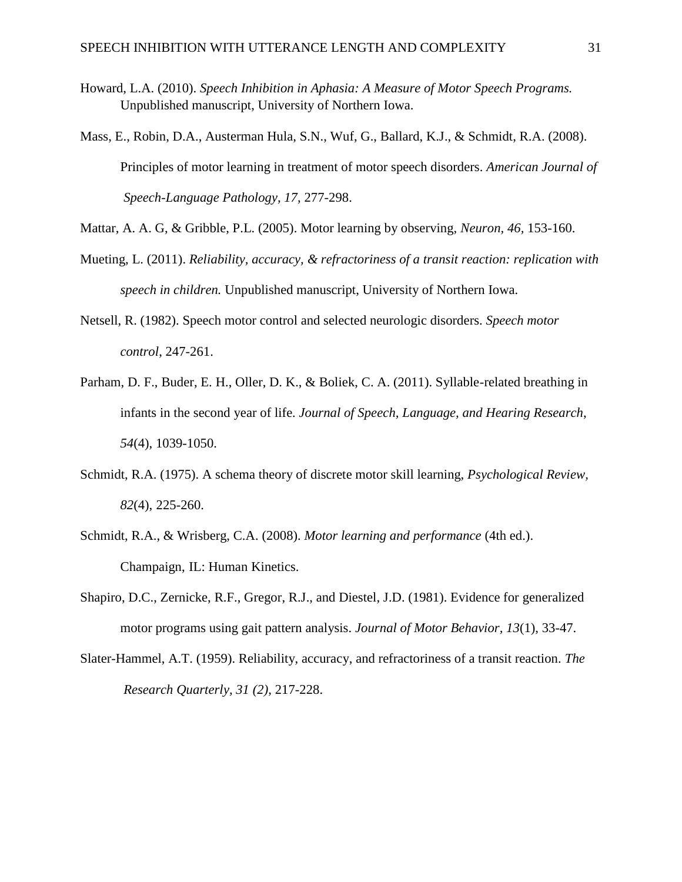- Howard, L.A. (2010). *Speech Inhibition in Aphasia: A Measure of Motor Speech Programs.*  Unpublished manuscript, University of Northern Iowa.
- Mass, E., Robin, D.A., Austerman Hula, S.N., Wuf, G., Ballard, K.J., & Schmidt, R.A. (2008). Principles of motor learning in treatment of motor speech disorders. *American Journal of Speech-Language Pathology, 17,* 277-298.
- Mattar, A. A. G, & Gribble, P.L. (2005). Motor learning by observing, *Neuron, 46,* 153-160.
- Mueting, L. (2011). *Reliability, accuracy, & refractoriness of a transit reaction: replication with speech in children.* Unpublished manuscript, University of Northern Iowa.
- Netsell, R. (1982). Speech motor control and selected neurologic disorders. *Speech motor control*, 247-261.
- Parham, D. F., Buder, E. H., Oller, D. K., & Boliek, C. A. (2011). Syllable-related breathing in infants in the second year of life. *Journal of Speech, Language, and Hearing Research*, *54*(4), 1039-1050.
- Schmidt, R.A. (1975). A schema theory of discrete motor skill learning, *Psychological Review, 82*(4), 225-260.
- Schmidt, R.A., & Wrisberg, C.A. (2008). *Motor learning and performance* (4th ed.). Champaign, IL: Human Kinetics.
- Shapiro, D.C., Zernicke, R.F., Gregor, R.J., and Diestel, J.D. (1981). Evidence for generalized motor programs using gait pattern analysis. *Journal of Motor Behavior, 13*(1), 33-47.
- Slater-Hammel, A.T. (1959). Reliability, accuracy, and refractoriness of a transit reaction. *The Research Quarterly, 31 (2),* 217-228.